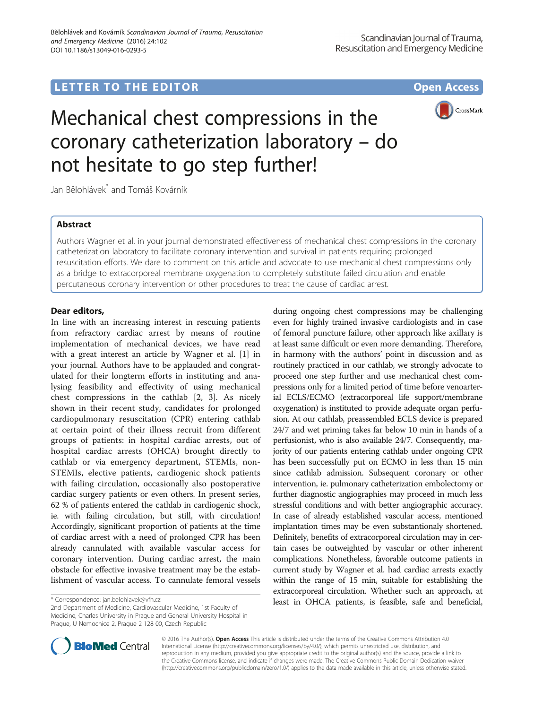## **LETTER TO THE EDITOR CONSIDERING ACCESS**



# Mechanical chest compressions in the coronary catheterization laboratory – do not hesitate to go step further!

Jan Bělohlávek\* and Tomáš Kovárník

## Abstract

Authors Wagner et al. in your journal demonstrated effectiveness of mechanical chest compressions in the coronary catheterization laboratory to facilitate coronary intervention and survival in patients requiring prolonged resuscitation efforts. We dare to comment on this article and advocate to use mechanical chest compressions only as a bridge to extracorporeal membrane oxygenation to completely substitute failed circulation and enable percutaneous coronary intervention or other procedures to treat the cause of cardiac arrest.

## Dear editors,

In line with an increasing interest in rescuing patients from refractory cardiac arrest by means of routine implementation of mechanical devices, we have read with a great interest an article by Wagner et al. [\[1](#page-1-0)] in your journal. Authors have to be applauded and congratulated for their longterm efforts in instituting and analysing feasibility and effectivity of using mechanical chest compressions in the cathlab [\[2](#page-1-0), [3\]](#page-1-0). As nicely shown in their recent study, candidates for prolonged cardiopulmonary resuscitation (CPR) entering cathlab at certain point of their illness recruit from different groups of patients: in hospital cardiac arrests, out of hospital cardiac arrests (OHCA) brought directly to cathlab or via emergency department, STEMIs, non-STEMIs, elective patients, cardiogenic shock patients with failing circulation, occasionally also postoperative cardiac surgery patients or even others. In present series, 62 % of patients entered the cathlab in cardiogenic shock, ie. with failing circulation, but still, with circulation! Accordingly, significant proportion of patients at the time of cardiac arrest with a need of prolonged CPR has been already cannulated with available vascular access for coronary intervention. During cardiac arrest, the main obstacle for effective invasive treatment may be the establishment of vascular access. To cannulate femoral vessels

2nd Department of Medicine, Cardiovascular Medicine, 1st Faculty of Medicine, Charles University in Prague and General University Hospital in Prague, U Nemocnice 2, Prague 2 128 00, Czech Republic

during ongoing chest compressions may be challenging even for highly trained invasive cardiologists and in case of femoral puncture failure, other approach like axillary is at least same difficult or even more demanding. Therefore, in harmony with the authors' point in discussion and as routinely practiced in our cathlab, we strongly advocate to proceed one step further and use mechanical chest compressions only for a limited period of time before venoarterial ECLS/ECMO (extracorporeal life support/membrane oxygenation) is instituted to provide adequate organ perfusion. At our cathlab, preassembled ECLS device is prepared 24/7 and wet priming takes far below 10 min in hands of a perfusionist, who is also available 24/7. Consequently, majority of our patients entering cathlab under ongoing CPR has been successfully put on ECMO in less than 15 min since cathlab admission. Subsequent coronary or other intervention, ie. pulmonary catheterization embolectomy or further diagnostic angiographies may proceed in much less stressful conditions and with better angiographic accuracy. In case of already established vascular access, mentioned implantation times may be even substantionaly shortened. Definitely, benefits of extracorporeal circulation may in certain cases be outweighted by vascular or other inherent complications. Nonetheless, favorable outcome patients in current study by Wagner et al. had cardiac arrests exactly within the range of 15 min, suitable for establishing the extracorporeal circulation. Whether such an approach, at \* Correspondence: [jan.belohlavek@vfn.cz](mailto:jan.belohlavek@vfn.cz)<br> **least in OHCA patients, is feasible, safe and beneficial,** 



© 2016 The Author(s). Open Access This article is distributed under the terms of the Creative Commons Attribution 4.0 International License [\(http://creativecommons.org/licenses/by/4.0/](http://creativecommons.org/licenses/by/4.0/)), which permits unrestricted use, distribution, and reproduction in any medium, provided you give appropriate credit to the original author(s) and the source, provide a link to the Creative Commons license, and indicate if changes were made. The Creative Commons Public Domain Dedication waiver [\(http://creativecommons.org/publicdomain/zero/1.0/](http://creativecommons.org/publicdomain/zero/1.0/)) applies to the data made available in this article, unless otherwise stated.